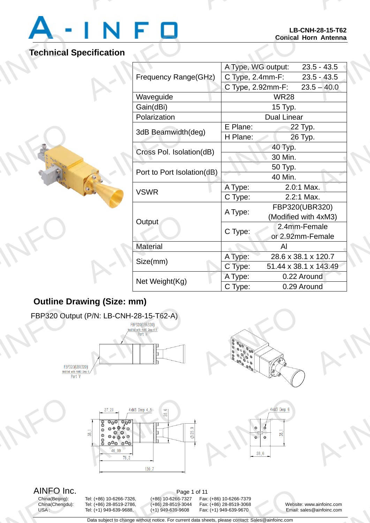

# **Technical Specification**

A-INFO

A-INFO

A-INFO

A-INFO

A-INFO

|                            | LD-UNN-Z0-13-10Z<br><b>Conical Horn Antenna</b> |                  |                       |
|----------------------------|-------------------------------------------------|------------------|-----------------------|
| ecification                |                                                 |                  |                       |
| Frequency Range(GHz)       | A Type, WG output:                              |                  | $23.5 - 43.5$         |
|                            | C Type, 2.4mm-F:                                |                  | $23.5 - 43.5$         |
|                            | C Type, 2.92mm-F:                               |                  | $23.5 - 40.0$         |
| Waveguide                  |                                                 | <b>WR28</b>      |                       |
| Gain(dBi)                  | 15 Typ.                                         |                  |                       |
| Polarization               | <b>Dual Linear</b>                              |                  |                       |
| 3dB Beamwidth(deg)         | E Plane:                                        | 22 Typ.          |                       |
|                            | H Plane:                                        | 26 Typ.          |                       |
| Cross Pol. Isolation(dB)   | 40 Typ.                                         |                  |                       |
|                            | 30 Min.                                         |                  |                       |
| Port to Port Isolation(dB) |                                                 | 50 Typ.          |                       |
|                            | 40 Min.                                         |                  |                       |
| <b>VSWR</b>                | A Type:                                         | 2.0:1 Max.       |                       |
|                            | C Type:                                         | 2.2:1 Max.       |                       |
|                            | A Type:                                         | FBP320(UBR320)   |                       |
| Output                     |                                                 |                  | (Modified with 4xM3)  |
|                            | C Type:                                         | 2.4mm-Female     |                       |
|                            |                                                 | or 2.92mm-Female |                       |
| <b>Material</b>            |                                                 | AI               |                       |
| Size(mm)                   | A Type:                                         |                  | 28.6 x 38.1 x 120.7   |
|                            | C Type:                                         |                  | 51.44 x 38.1 x 143.49 |
| Net Weight(Kg)             | A Type:                                         | 0.22 Around      |                       |
|                            | C Type:                                         | 0.29 Around      |                       |

A-INFORMATION CONTINUES.

## **Outline Drawing (Size: mm)**







AINFO Inc.<br>China(Beijing): Tel: (+86) 10-6266-7326, (+86) 10-6266-7327 Fax AINFO Inc<br>
China(Beijing):<br>
China(Chengdu):<br>
USA:

Page<br>
Tel: (+86) 10-6266-7326, (+86) 10-6266-732<br>
Tel: (+86) 28-8519-2786, (+86) 28-8519-304<br>
Tel: (+1) 949-639-9688, (+1) 949-639-9608<br>
Data subject to change without notice. For currency

China(Beijing): Tel: (+86) 10-6266-7326, (+86) 10-6266-7327 Fax: (+86) 10-6266-7379 11<br>
Fax: (+86) 10-6266-7379<br>
Fax: (+86) 28-8519-3068<br>
Fax: (+1) 949-639-9670<br>
a sheets, please contact: Sales@ainfoinc.com

China(Chengdu): Tel: (+86) 28-8519-2786, (+86) 28-8519-3044 Fax: (+86) 28-8519-3068 Website: www.ainfoinc.com Email: sales@ainfoinc.com A-INFO

Data subject to change without notice. For current data sheets, please contact: Sales@ainfoinc.com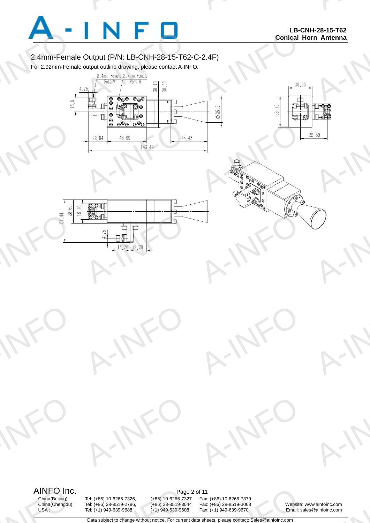

A-INFO

A-INFO

A-INFO

## 2.4mm-Female Output (P/N: LB-CNH-28-15-T62-C-2.4F)

A-INFORMATION CONTINUES.

For 2.92mm-Female output outline drawing, please contact A-INFO.







A-INFORMATION CONTINUES.



A-IFO

A-IFO



A-INFO

A-INFO

Page<br>
Tel: (+86) 10-6266-7326, (+86) 10-6266-732<br>
Tel: (+86) 28-8519-2786, (+86) 28-8519-304<br>
Tel: (+1) 949-639-9688, (+1) 949-639-9608<br>
Data subject to change without notice. For currency

China(Beijing): Tel: (+86) 10-6266-7326, (+86) 10-6266-7327 Fax: (+86) 10-6266-7379 China(Chengdu): Tel: (+86) 28-8519-2786, (+86) 28-8519-3044 Fax: (+86) 28-8519-3068 Website: www.ainfoinc.com 11<br>
Fax: (+86) 10-6266-7379<br>
Fax: (+86) 28-8519-3068<br>
Fax: (+1) 949-639-9670<br>
a sheets, please contact: Sales@ainfoinc.com

A-IFO

A-IFO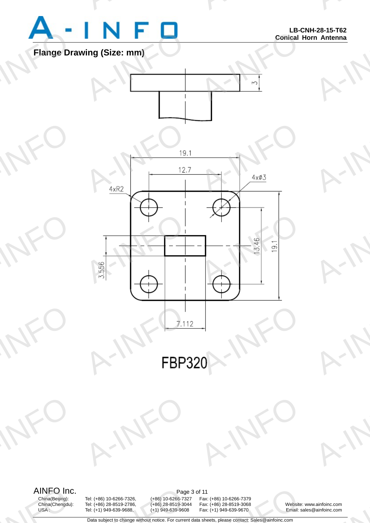

A-INFO

A-INFO

A-INFO

A-INFO

A-INFO

A-INFORMATION CONTINUES.





A-INFO

China(Chengdu): Tel: (+86) 28-8519-2786, (+86) 28-8519-3044 Fax: (+86) 28-8519-3068 Website: www.ainfoinc.com Page<br>
Tel: (+86) 10-6266-7326, (+86) 10-6266-732<br>
Tel: (+86) 28-8519-2786, (+86) 28-8519-304<br>
Tel: (+1) 949-639-9688, (+1) 949-639-9608<br>
Data subject to change without notice. For currency

A-IFO

China(Beijing): Tel: (+86) 10-6266-7326, (+86) 10-6266-7327 Fax: (+86) 10-6266-7379 11<br>
Fax: (+86) 10-6266-7379<br>
Fax: (+86) 28-8519-3068<br>
Fax: (+1) 949-639-9670<br>
a sheets, please contact: Sales@ainfoinc.com

A-IFO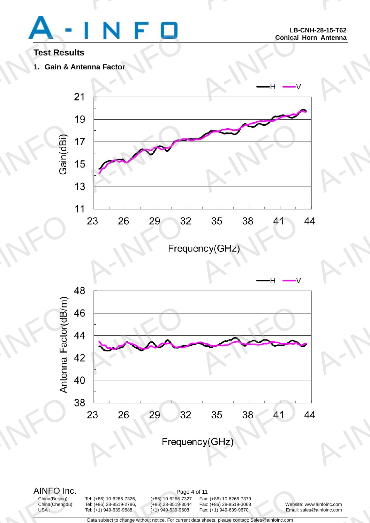A-INFO

A-INFORMATION CONTINUES.

## **Test Results**

**1. Gain & Antenna Factor** 







China(Beijing): Tel: (+86) 10-6266-7326, (+86) 10-6266-7327 Fax: (+86) 10-6266-7379 China(Chengdu): Tel: (+86) 28-8519-2786, (+86) 28-8519-3044 Fax: (+86) 28-8519-3068 Website: www.ainfoinc.com Page<br>
Tel: (+86) 10-6266-7326, (+86) 10-6266-732<br>
Tel: (+86) 28-8519-2786, (+86) 28-8519-304<br>
Tel: (+1) 949-639-9688, (+1) 949-639-9608<br>
Data subject to change without notice. For currency

11<br>
Fax: (+86) 10-6266-7379<br>
Fax: (+86) 28-8519-3068<br>
Fax: (+1) 949-639-9670<br>
a sheets, please contact: Sales@ainfoinc.com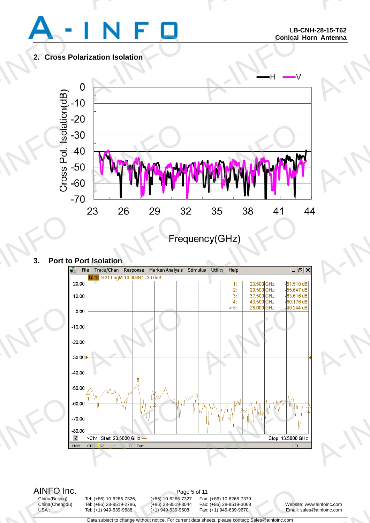

A-INFO

A-INFO

A-INFO

A-INFORMATION CONTINUES.

## **2. Cross Polarization Isolation**



## **3. Port to Port Isolation**



AINFO Inc.<br>China(Beijing): Tel: (+86) 10-6266-7326, (+86) 10-6266-7327 Fax AINFO Inc<br>
China(Beijing):<br>
China(Chengdu):<br>
USA:

China(Chengdu): Tel: (+86) 28-8519-2786, (+86) 28-8519-3044 Fax: (+86) 28-8519-3068 Website: www.ainfoinc.com Page<br>
Tel: (+86) 10-6266-7326, (+86) 10-6266-732<br>
Tel: (+86) 28-8519-2786, (+86) 28-8519-304<br>
Tel: (+1) 949-639-9688, (+1) 949-639-9608<br>
Data subject to change without notice. For currency

China(Beijing): Tel: (+86) 10-6266-7326, (+86) 10-6266-7327 Fax: (+86) 10-6266-7379 11<br>
Fax: (+86) 10-6266-7379<br>
Fax: (+86) 28-8519-3068<br>
Fax: (+1) 949-639-9670<br>
a sheets, please contact: Sales@ainfoinc.com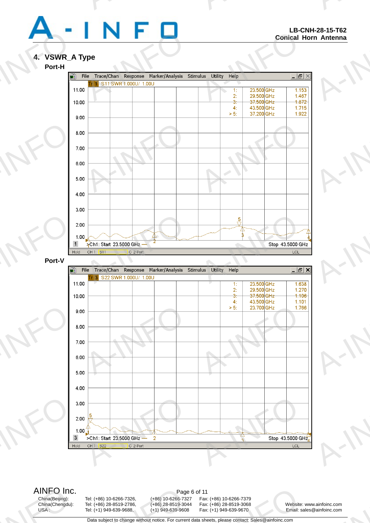

A-INFO

A-INFO

A-INFO

A-INFO

A-INFO

A-INFORMATION CONTINUES.

# **4. VSWR\_A Type**





China(Chengdu): Tel: (+86) 28-8519-2786, (+86) 28-8519-3044 Fax: (+86) 28-8519-3068 Website: www.ainfoinc.com Page<br>
Tel: (+86) 10-6266-7326, (+86) 10-6266-732<br>
Tel: (+86) 28-8519-2786, (+86) 28-8519-304<br>
Tel: (+1) 949-639-9688, (+1) 949-639-9608<br>
Data subject to change without notice. For currency

China(Beijing): Tel: (+86) 10-6266-7326, (+86) 10-6266-7327 Fax: (+86) 10-6266-7379 11<br>
Fax: (+86) 10-6266-7379<br>
Fax: (+86) 28-8519-3068<br>
Fax: (+1) 949-639-9670<br>
a sheets, please contact: Sales@ainfoinc.com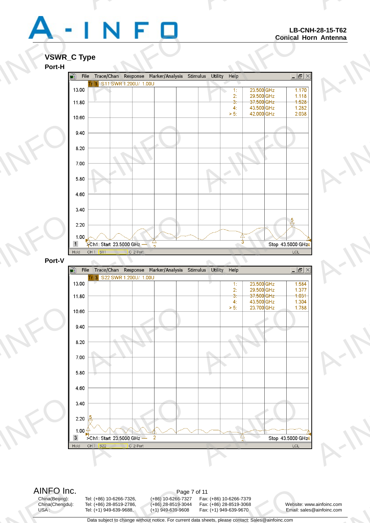A-INFO

A-INFORMATION CONTINUES.

## **VSWR\_C Type**



AINFO Inc.<br>China(Beijing): Tel: (+86) 10-6266-7326, (+86) 10-6266-7327 Fax: AINFO Inc<br>
China(Beijing):<br>
China(Chengdu):<br>
USA:

China(Chengdu): Tel: (+86) 28-8519-2786, (+86) 28-8519-3044 Fax: (+86) 28-8519-3068 Website: www.ainfoinc.com Page<br>
Tel: (+86) 10-6266-7326, (+86) 10-6266-732<br>
Tel: (+86) 28-8519-2786, (+86) 28-8519-304<br>
Tel: (+1) 949-639-9688, (+1) 949-639-9608<br>
Data subject to change without notice. For currency

China(Beijing): Tel: (+86) 10-6266-7326, (+86) 10-6266-7327 Fax: (+86) 10-6266-7379 11<br>
Fax: (+86) 10-6266-7379<br>
Fax: (+86) 28-8519-3068<br>
Fax: (+1) 949-639-9670<br>
a sheets, please contact: Sales@ainfoinc.com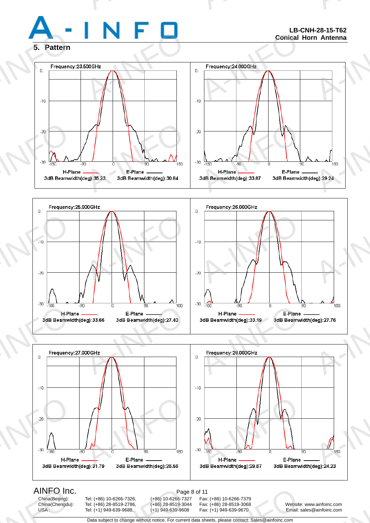

A-INFO

A-INFORMATION CONTINUES.







AINFO Inc<br>
China(Beijing):<br>
China(Chengdu):<br>
USA:

China(Chengdu): Tel: (+86) 28-8519-2786, (+86) 28-8519-3044 Fax: (+86) 28-8519-3068 Website: www.ainfoinc.com Page<br>
Tel: (+86) 10-6266-7326, (+86) 10-6266-732<br>
Tel: (+86) 28-8519-2786, (+86) 28-8519-304<br>
Tel: (+1) 949-639-9688, (+1) 949-639-9608<br>
Data subject to change without notice. For currency

China(Beijing): Tel: (+86) 10-6266-7326, (+86) 10-6266-7327 Fax: (+86) 10-6266-7379 11<br>
Fax: (+86) 10-6266-7379<br>
Fax: (+86) 28-8519-3068<br>
Fax: (+1) 949-639-9670<br>
a sheets, please contact: Sales@ainfoinc.com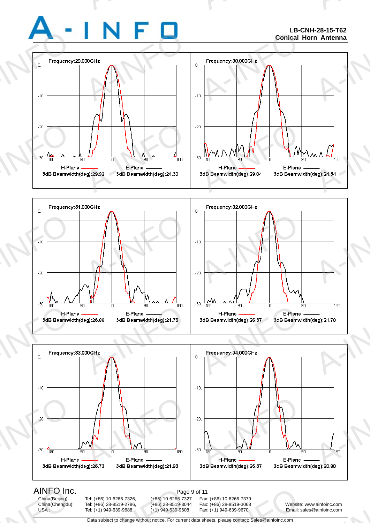### **LB-CNH-28-15-T62 Conical Horn Antenna**

A-INFO

A-INFORMATION CONTINUES.







AINFO Inc<br>
China(Beijing):<br>
China(Chengdu):<br>
USA:

China(Chengdu): Tel: (+86) 28-8519-2786, (+86) 28-8519-3044 Fax: (+86) 28-8519-3068 Website: www.ainfoinc.com Page<br>
Tel: (+86) 10-6266-7326, (+86) 10-6266-732<br>
Tel: (+86) 28-8519-2786, (+86) 28-8519-304<br>
Tel: (+1) 949-639-9688, (+1) 949-639-9608<br>
Data subject to change without notice. For currency

China(Beijing): Tel: (+86) 10-6266-7326, (+86) 10-6266-7327 Fax: (+86) 10-6266-7379 11<br>
Fax: (+86) 10-6266-7379<br>
Fax: (+86) 28-8519-3068<br>
Fax: (+1) 949-639-9670<br>
a sheets, please contact: Sales@ainfoinc.com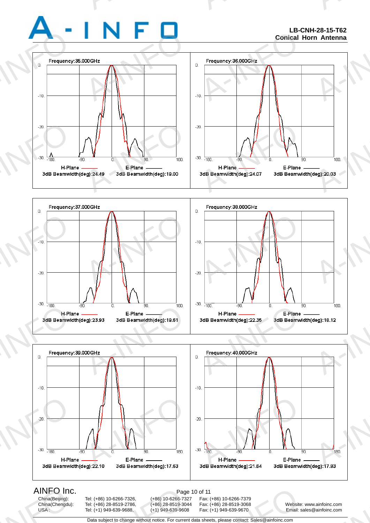### **LB-CNH-28-15-T62 Conical Horn Antenna**

A-INFO

A-INFORMATION CONTINUES.







AINFO Inc<br>
China(Beijing):<br>
China(Chengdu):<br>
USA:

China(Chengdu): Tel: (+86) 28-8519-2786, (+86) 28-8519-3044 Fax: (+86) 28-8519-3068 Website: www.ainfoinc.com Page<br>
Tel: (+86) 10-6266-7326, (+86) 10-6266-732<br>
Tel: (+86) 28-8519-2786, (+86) 28-8519-304<br>
Tel: (+1) 949-639-9688, (+1) 949-639-9608<br>
Data subject to change without notice. For currency

China(Beijing): Tel: (+86) 10-6266-7326, (+86) 10-6266-7327 Fax: (+86) 10-6266-7379 of 11<br>
Fax: (+86) 10-6266-7379<br>
Fax: (+86) 28-8519-3068 Website:<br>
Fax: (+1) 949-639-9670 Email: si<br>
a sheets, please contact: Sales@ainfoinc.com